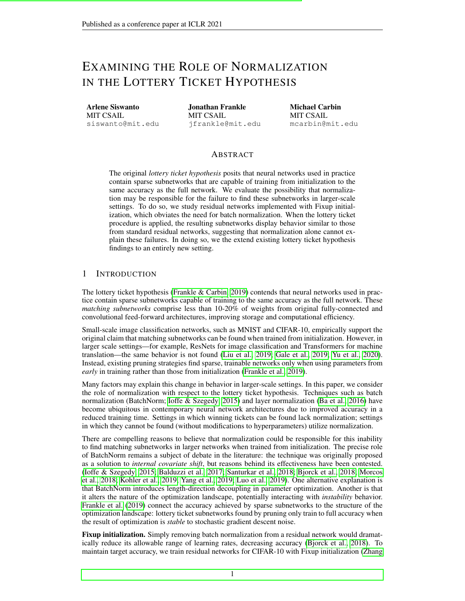# EXAMINING THE ROLE OF NORMALIZATION IN THE LOTTERY TICKET HYPOTHESIS

Arlene Siswanto MIT CSAIL siswanto@mit.edu

Jonathan Frankle MIT CSAIL jfrankle@mit.edu Michael Carbin MIT CSAIL mcarbin@mit.edu

## ABSTRACT

The original *lottery ticket hypothesis* posits that neural networks used in practice contain sparse subnetworks that are capable of training from initialization to the same accuracy as the full network. We evaluate the possibility that normalization may be responsible for the failure to find these subnetworks in larger-scale settings. To do so, we study residual networks implemented with Fixup initialization, which obviates the need for batch normalization. When the lottery ticket procedure is applied, the resulting subnetworks display behavior similar to those from standard residual networks, suggesting that normalization alone cannot explain these failures. In doing so, we the extend existing lottery ticket hypothesis findings to an entirely new setting.

### 1 INTRODUCTION

The lottery ticket hypothesis [\(Frankle & Carbin, 2019\)](#page-3-0) contends that neural networks used in practice contain sparse subnetworks capable of training to the same accuracy as the full network. These *matching subnetworks* comprise less than 10-20% of weights from original fully-connected and convolutional feed-forward architectures, improving storage and computational efficiency.

Small-scale image classification networks, such as MNIST and CIFAR-10, empirically support the original claim that matching subnetworks can be found when trained from initialization. However, in larger scale settings—for example, ResNets for image classification and Transformers for machine translation—the same behavior is not found [\(Liu et al., 2019;](#page-3-1) [Gale et al., 2019;](#page-3-2) [Yu et al., 2020\)](#page-4-0). Instead, existing pruning strategies find sparse, trainable networks only when using parameters from *early* in training rather than those from initialization [\(Frankle et al., 2019\)](#page-3-3).

Many factors may explain this change in behavior in larger-scale settings. In this paper, we consider the role of normalization with respect to the lottery ticket hypothesis. Techniques such as batch normalization (BatchNorm; [Ioffe & Szegedy, 2015\)](#page-3-4) and layer normalization [\(Ba et al., 2016\)](#page-3-5) have become ubiquitous in contemporary neural network architectures due to improved accuracy in a reduced training time. Settings in which winning tickets can be found lack normalization; settings in which they cannot be found (without modifications to hyperparameters) utilize normalization.

There are compelling reasons to believe that normalization could be responsible for this inability to find matching subnetworks in larger networks when trained from initialization. The precise role of BatchNorm remains a subject of debate in the literature: the technique was originally proposed as a solution to *internal covariate shift*, but reasons behind its effectiveness have been contested. [\(Ioffe & Szegedy, 2015;](#page-3-4) [Balduzzi et al., 2017;](#page-3-6) [Santurkar et al., 2018;](#page-3-7) [Bjorck et al., 2018;](#page-3-8) [Morcos](#page-3-9) [et al., 2018;](#page-3-9) [Kohler et al., 2019;](#page-3-10) [Yang et al., 2019;](#page-3-11) [Luo et al., 2019\)](#page-3-12). One alternative explanation is that BatchNorm introduces length-direction decoupling in parameter optimization. Another is that it alters the nature of the optimization landscape, potentially interacting with *instability* behavior. [Frankle et al.](#page-3-3) [\(2019\)](#page-3-3) connect the accuracy achieved by sparse subnetworks to the structure of the optimization landscape: lottery ticket subnetworks found by pruning only train to full accuracy when the result of optimization is *stable* to stochastic gradient descent noise.

Fixup initialization. Simply removing batch normalization from a residual network would dramatically reduce its allowable range of learning rates, decreasing accuracy [\(Bjorck et al., 2018\)](#page-3-8). To maintain target accuracy, we train residual networks for CIFAR-10 with Fixup initialization [\(Zhang](#page-4-1)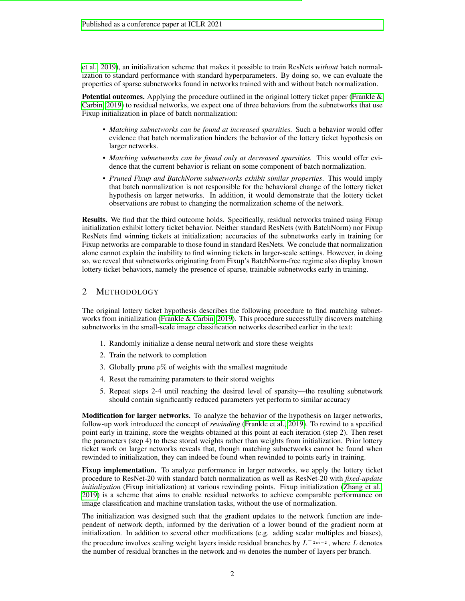[et al., 2019\)](#page-4-1), an initialization scheme that makes it possible to train ResNets *without* batch normalization to standard performance with standard hyperparameters. By doing so, we can evaluate the properties of sparse subnetworks found in networks trained with and without batch normalization.

**Potential outcomes.** Applying the procedure outlined in the original lottery ticket paper (Frankle  $\&$ [Carbin, 2019\)](#page-3-0) to residual networks, we expect one of three behaviors from the subnetworks that use Fixup initialization in place of batch normalization:

- *Matching subnetworks can be found at increased sparsities.* Such a behavior would offer evidence that batch normalization hinders the behavior of the lottery ticket hypothesis on larger networks.
- *Matching subnetworks can be found only at decreased sparsities.* This would offer evidence that the current behavior is reliant on some component of batch normalization.
- *Pruned Fixup and BatchNorm subnetworks exhibit similar properties*. This would imply that batch normalization is not responsible for the behavioral change of the lottery ticket hypothesis on larger networks. In addition, it would demonstrate that the lottery ticket observations are robust to changing the normalization scheme of the network.

Results. We find that the third outcome holds. Specifically, residual networks trained using Fixup initialization exhibit lottery ticket behavior. Neither standard ResNets (with BatchNorm) nor Fixup ResNets find winning tickets at initialization; accuracies of the subnetworks early in training for Fixup networks are comparable to those found in standard ResNets. We conclude that normalization alone cannot explain the inability to find winning tickets in larger-scale settings. However, in doing so, we reveal that subnetworks originating from Fixup's BatchNorm-free regime also display known lottery ticket behaviors, namely the presence of sparse, trainable subnetworks early in training.

# 2 METHODOLOGY

The original lottery ticket hypothesis describes the following procedure to find matching subnet-works from initialization [\(Frankle & Carbin, 2019\)](#page-3-0). This procedure successfully discovers matching subnetworks in the small-scale image classification networks described earlier in the text:

- 1. Randomly initialize a dense neural network and store these weights
- 2. Train the network to completion
- 3. Globally prune  $p\%$  of weights with the smallest magnitude
- 4. Reset the remaining parameters to their stored weights
- 5. Repeat steps 2-4 until reaching the desired level of sparsity—the resulting subnetwork should contain significantly reduced parameters yet perform to similar accuracy

Modification for larger networks. To analyze the behavior of the hypothesis on larger networks, follow-up work introduced the concept of *rewinding* [\(Frankle et al., 2019\)](#page-3-3). To rewind to a specified point early in training, store the weights obtained at this point at each iteration (step 2). Then reset the parameters (step 4) to these stored weights rather than weights from initialization. Prior lottery ticket work on larger networks reveals that, though matching subnetworks cannot be found when rewinded to initialization, they can indeed be found when rewinded to points early in training.

Fixup implementation. To analyze performance in larger networks, we apply the lottery ticket procedure to ResNet-20 with standard batch normalization as well as ResNet-20 with *fixed-update initialization* (Fixup initialization) at various rewinding points. Fixup initialization [\(Zhang et al.,](#page-4-1) [2019\)](#page-4-1) is a scheme that aims to enable residual networks to achieve comparable performance on image classification and machine translation tasks, without the use of normalization.

The initialization was designed such that the gradient updates to the network function are independent of network depth, informed by the derivation of a lower bound of the gradient norm at initialization. In addition to several other modifications (e.g. adding scalar multiples and biases), the procedure involves scaling weight layers inside residual branches by  $L^{-\frac{1}{2m-2}}$ , where L denotes the number of residual branches in the network and  $m$  denotes the number of layers per branch.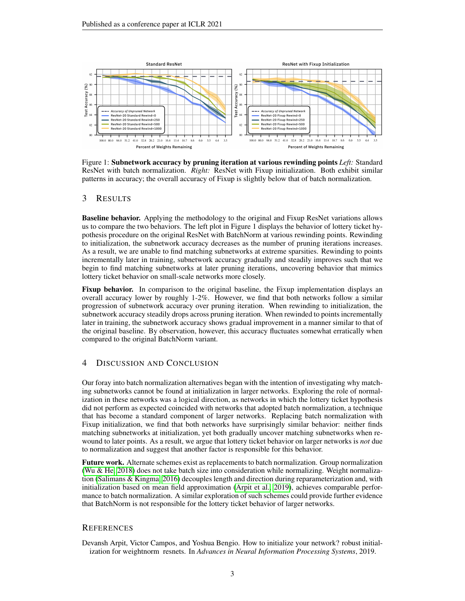

Figure 1: Subnetwork accuracy by pruning iteration at various rewinding points *Left:* Standard ResNet with batch normalization. *Right:* ResNet with Fixup initialization. Both exhibit similar patterns in accuracy; the overall accuracy of Fixup is slightly below that of batch normalization.

## 3 RESULTS

Baseline behavior. Applying the methodology to the original and Fixup ResNet variations allows us to compare the two behaviors. The left plot in Figure 1 displays the behavior of lottery ticket hypothesis procedure on the original ResNet with BatchNorm at various rewinding points. Rewinding to initialization, the subnetwork accuracy decreases as the number of pruning iterations increases. As a result, we are unable to find matching subnetworks at extreme sparsities. Rewinding to points incrementally later in training, subnetwork accuracy gradually and steadily improves such that we begin to find matching subnetworks at later pruning iterations, uncovering behavior that mimics lottery ticket behavior on small-scale networks more closely.

Fixup behavior. In comparison to the original baseline, the Fixup implementation displays an overall accuracy lower by roughly 1-2%. However, we find that both networks follow a similar progression of subnetwork accuracy over pruning iteration. When rewinding to initialization, the subnetwork accuracy steadily drops across pruning iteration. When rewinded to points incrementally later in training, the subnetwork accuracy shows gradual improvement in a manner similar to that of the original baseline. By observation, however, this accuracy fluctuates somewhat erratically when compared to the original BatchNorm variant.

## 4 DISCUSSION AND CONCLUSION

Our foray into batch normalization alternatives began with the intention of investigating why matching subnetworks cannot be found at initialization in larger networks. Exploring the role of normalization in these networks was a logical direction, as networks in which the lottery ticket hypothesis did not perform as expected coincided with networks that adopted batch normalization, a technique that has become a standard component of larger networks. Replacing batch normalization with Fixup initialization, we find that both networks have surprisingly similar behavior: neither finds matching subnetworks at initialization, yet both gradually uncover matching subnetworks when rewound to later points. As a result, we argue that lottery ticket behavior on larger networks is *not* due to normalization and suggest that another factor is responsible for this behavior.

Future work. Alternate schemes exist as replacements to batch normalization. Group normalization [\(Wu & He, 2018\)](#page-3-13) does not take batch size into consideration while normalizing. Weight normalization [\(Salimans & Kingma, 2016\)](#page-3-14) decouples length and direction during reparameterization and, with initialization based on mean field approximation [\(Arpit et al., 2019\)](#page-2-0), achieves comparable performance to batch normalization. A similar exploration of such schemes could provide further evidence that BatchNorm is not responsible for the lottery ticket behavior of larger networks.

### **REFERENCES**

<span id="page-2-0"></span>Devansh Arpit, Victor Campos, and Yoshua Bengio. How to initialize your network? robust initialization for weightnorm resnets. In *Advances in Neural Information Processing Systems*, 2019.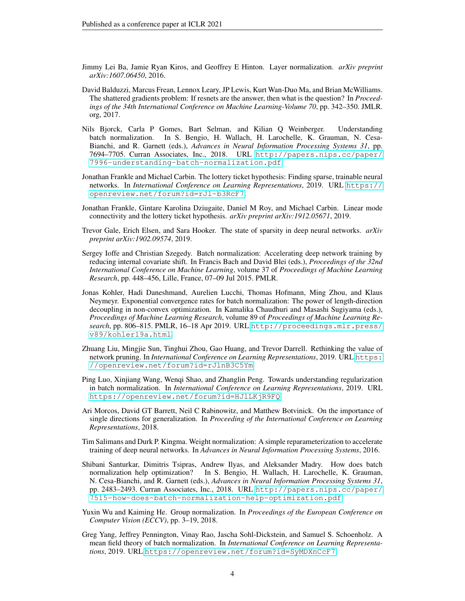- <span id="page-3-5"></span>Jimmy Lei Ba, Jamie Ryan Kiros, and Geoffrey E Hinton. Layer normalization. *arXiv preprint arXiv:1607.06450*, 2016.
- <span id="page-3-6"></span>David Balduzzi, Marcus Frean, Lennox Leary, JP Lewis, Kurt Wan-Duo Ma, and Brian McWilliams. The shattered gradients problem: If resnets are the answer, then what is the question? In *Proceedings of the 34th International Conference on Machine Learning-Volume 70*, pp. 342–350. JMLR. org, 2017.
- <span id="page-3-8"></span>Nils Bjorck, Carla P Gomes, Bart Selman, and Kilian Q Weinberger. Understanding batch normalization. In S. Bengio, H. Wallach, H. Larochelle, K. Grauman, N. Cesa-Bianchi, and R. Garnett (eds.), *Advances in Neural Information Processing Systems 31*, pp. 7694–7705. Curran Associates, Inc., 2018. URL [http://papers.nips.cc/paper/](http://papers.nips.cc/paper/7996-understanding-batch-normalization.pdf) [7996-understanding-batch-normalization.pdf](http://papers.nips.cc/paper/7996-understanding-batch-normalization.pdf).
- <span id="page-3-0"></span>Jonathan Frankle and Michael Carbin. The lottery ticket hypothesis: Finding sparse, trainable neural networks. In *International Conference on Learning Representations*, 2019. URL [https://](https://openreview.net/forum?id=rJl-b3RcF7) [openreview.net/forum?id=rJl-b3RcF7](https://openreview.net/forum?id=rJl-b3RcF7).
- <span id="page-3-3"></span>Jonathan Frankle, Gintare Karolina Dziugaite, Daniel M Roy, and Michael Carbin. Linear mode connectivity and the lottery ticket hypothesis. *arXiv preprint arXiv:1912.05671*, 2019.
- <span id="page-3-2"></span>Trevor Gale, Erich Elsen, and Sara Hooker. The state of sparsity in deep neural networks. *arXiv preprint arXiv:1902.09574*, 2019.
- <span id="page-3-4"></span>Sergey Ioffe and Christian Szegedy. Batch normalization: Accelerating deep network training by reducing internal covariate shift. In Francis Bach and David Blei (eds.), *Proceedings of the 32nd International Conference on Machine Learning*, volume 37 of *Proceedings of Machine Learning Research*, pp. 448–456, Lille, France, 07–09 Jul 2015. PMLR.
- <span id="page-3-10"></span>Jonas Kohler, Hadi Daneshmand, Aurelien Lucchi, Thomas Hofmann, Ming Zhou, and Klaus Neymeyr. Exponential convergence rates for batch normalization: The power of length-direction decoupling in non-convex optimization. In Kamalika Chaudhuri and Masashi Sugiyama (eds.), *Proceedings of Machine Learning Research*, volume 89 of *Proceedings of Machine Learning Research*, pp. 806–815. PMLR, 16–18 Apr 2019. URL [http://proceedings.mlr.press/](http://proceedings.mlr.press/v89/kohler19a.html) [v89/kohler19a.html](http://proceedings.mlr.press/v89/kohler19a.html).
- <span id="page-3-1"></span>Zhuang Liu, Mingjie Sun, Tinghui Zhou, Gao Huang, and Trevor Darrell. Rethinking the value of network pruning. In *International Conference on Learning Representations*, 2019. URL [https:](https://openreview.net/forum?id=rJlnB3C5Ym) [//openreview.net/forum?id=rJlnB3C5Ym](https://openreview.net/forum?id=rJlnB3C5Ym).
- <span id="page-3-12"></span>Ping Luo, Xinjiang Wang, Wenqi Shao, and Zhanglin Peng. Towards understanding regularization in batch normalization. In *International Conference on Learning Representations*, 2019. URL <https://openreview.net/forum?id=HJlLKjR9FQ>.
- <span id="page-3-9"></span>Ari Morcos, David GT Barrett, Neil C Rabinowitz, and Matthew Botvinick. On the importance of single directions for generalization. In *Proceeding of the International Conference on Learning Representations*, 2018.
- <span id="page-3-14"></span>Tim Salimans and Durk P. Kingma. Weight normalization: A simple reparameterization to accelerate training of deep neural networks. In *Advances in Neural Information Processing Systems*, 2016.
- <span id="page-3-7"></span>Shibani Santurkar, Dimitris Tsipras, Andrew Ilyas, and Aleksander Madry. How does batch normalization help optimization? In S. Bengio, H. Wallach, H. Larochelle, K. Grauman, N. Cesa-Bianchi, and R. Garnett (eds.), *Advances in Neural Information Processing Systems 31*, pp. 2483–2493. Curran Associates, Inc., 2018. URL [http://papers.nips.cc/paper/](http://papers.nips.cc/paper/7515-how-does-batch-normalization-help-optimization.pdf) [7515-how-does-batch-normalization-help-optimization.pdf](http://papers.nips.cc/paper/7515-how-does-batch-normalization-help-optimization.pdf).
- <span id="page-3-13"></span>Yuxin Wu and Kaiming He. Group normalization. In *Proceedings of the European Conference on Computer Vision (ECCV)*, pp. 3–19, 2018.
- <span id="page-3-11"></span>Greg Yang, Jeffrey Pennington, Vinay Rao, Jascha Sohl-Dickstein, and Samuel S. Schoenholz. A mean field theory of batch normalization. In *International Conference on Learning Representations*, 2019. URL <https://openreview.net/forum?id=SyMDXnCcF7>.